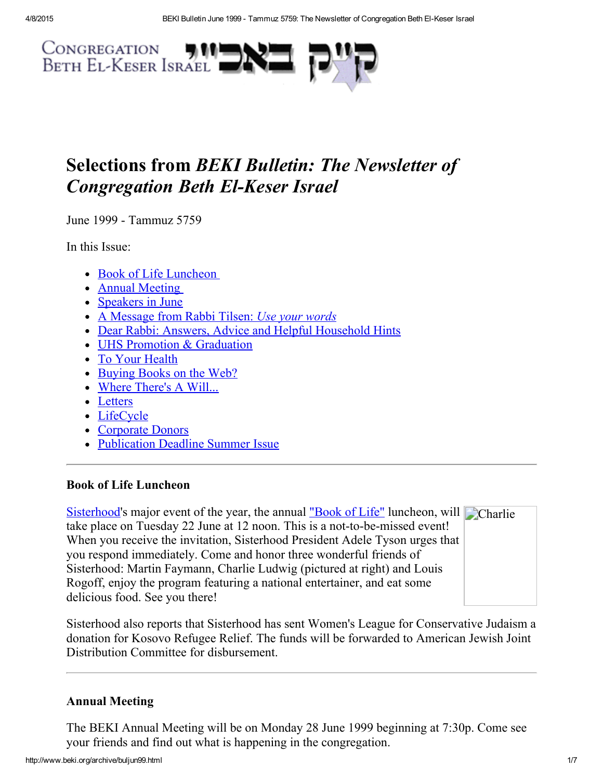

# Selections from BEKI Bulletin: The Newsletter of **Congregation Beth El-Keser Israel**

June 1999 - Tammuz 5759

In this Issue:

- Book of Life [Luncheon](#page-0-1)
- Annual [Meeting](#page-0-0)
- [Speakers](#page-1-0) in June
- A [Message](#page-1-1) from Rabbi Tilsen: Use your words
- Dear Rabbi: Answers, Advice and Helpful [Household](#page-3-0) Hints
- UHS Promotion & [Graduation](#page-4-2)
- To Your [Health](#page-4-1)
- [Buying](#page-4-3) Books on the Web?
- Where [There's](#page-4-0) A Will...
- [Letters](#page-5-1)
- [LifeCycle](#page-5-0)
- [Corporate](#page-5-2) Donors
- [Publication](#page-6-0) Deadline Summer Issue

## <span id="page-0-1"></span>Book of Life Luncheon

[Sisterhood'](http://www.beki.org/archive/sisterhood.html)s major event of the year, the annual ["Book](http://www.beki.org/archive/sisterhood.html#bookoflife) of Life" luncheon, will Charlie take place on Tuesday 22 June at 12 noon. This is a not-to-be-missed event! When you receive the invitation, Sisterhood President Adele Tyson urges that you respond immediately. Come and honor three wonderful friends of Sisterhood: Martin Faymann, Charlie Ludwig (pictured at right) and Louis Rogoff, enjoy the program featuring a national entertainer, and eat some delicious food. See you there!

Sisterhood also reports that Sisterhood has sent Women's League for Conservative Judaism a donation for Kosovo Refugee Relief. The funds will be forwarded to American Jewish Joint Distribution Committee for disbursement.

## <span id="page-0-0"></span>Annual Meeting

The BEKI Annual Meeting will be on Monday 28 June 1999 beginning at 7:30p. Come see your friends and find out what is happening in the congregation.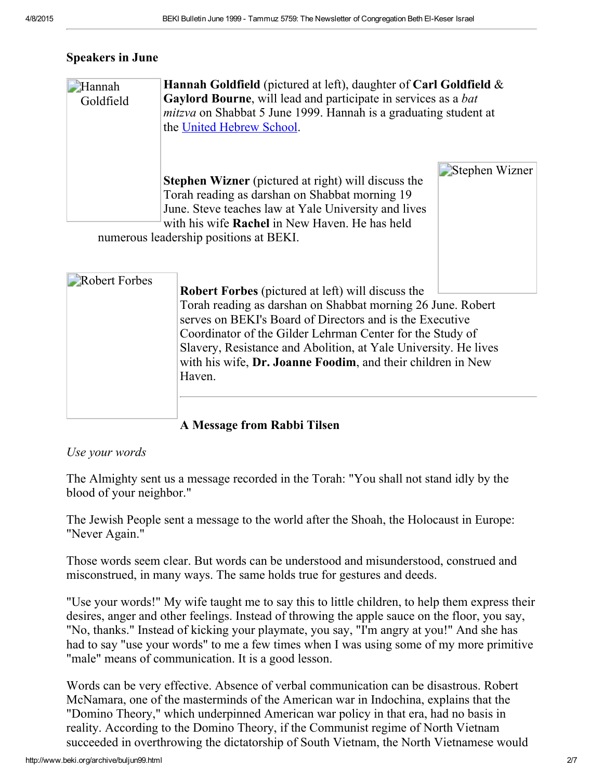#### <span id="page-1-0"></span>Speakers in June

| Hannah<br>Goldfield | Hannah Goldfield (pictured at left), daughter of Carl Goldfield &<br>Gaylord Bourne, will lead and participate in services as a bat<br><i>mitzva</i> on Shabbat 5 June 1999. Hannah is a graduating student at<br>the United Hebrew School.                            |                |  |
|---------------------|------------------------------------------------------------------------------------------------------------------------------------------------------------------------------------------------------------------------------------------------------------------------|----------------|--|
|                     | <b>Stephen Wizner</b> (pictured at right) will discuss the<br>Torah reading as darshan on Shabbat morning 19<br>June. Steve teaches law at Yale University and lives<br>with his wife <b>Rachel</b> in New Haven. He has held<br>numerous leadership positions at RFKI | Stephen Wizner |  |

numerous leadership positions at BEKI.

| Robert Forbes | <b>Robert Forbes</b> (pictured at left) will discuss the<br>Torah reading as darshan on Shabbat morning 26 June. Robert<br>serves on BEKI's Board of Directors and is the Executive<br>Coordinator of the Gilder Lehrman Center for the Study of<br>Slavery, Resistance and Abolition, at Yale University. He lives<br>with his wife, Dr. Joanne Foodim, and their children in New<br>Haven. |
|---------------|----------------------------------------------------------------------------------------------------------------------------------------------------------------------------------------------------------------------------------------------------------------------------------------------------------------------------------------------------------------------------------------------|
|               |                                                                                                                                                                                                                                                                                                                                                                                              |

## <span id="page-1-1"></span>A Message from Rabbi Tilsen

#### Use your words

The Almighty sent us a message recorded in the Torah: "You shall not stand idly by the blood of your neighbor."

The Jewish People sent a message to the world after the Shoah, the Holocaust in Europe: "Never Again."

Those words seem clear. But words can be understood and misunderstood, construed and misconstrued, in many ways. The same holds true for gestures and deeds.

"Use your words!" My wife taught me to say this to little children, to help them express their desires, anger and other feelings. Instead of throwing the apple sauce on the floor, you say, "No, thanks." Instead of kicking your playmate, you say, "I'm angry at you!" And she has had to say "use your words" to me a few times when I was using some of my more primitive "male" means of communication. It is a good lesson.

Words can be very effective. Absence of verbal communication can be disastrous. Robert McNamara, one of the masterminds of the American war in Indochina, explains that the "Domino Theory," which underpinned American war policy in that era, had no basis in reality. According to the Domino Theory, if the Communist regime of North Vietnam succeeded in overthrowing the dictatorship of South Vietnam, the North Vietnamese would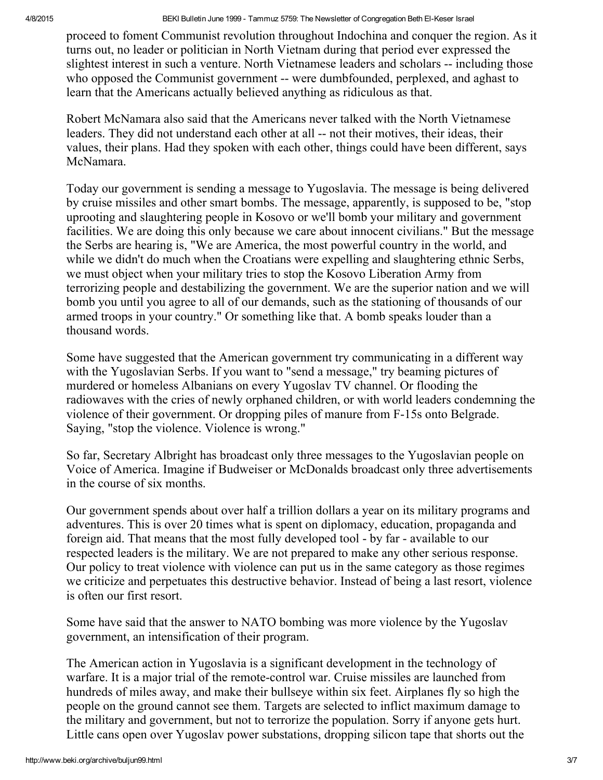4/8/2015 **BEKI Bulletin June 1999 - Tammuz 5759: The Newsletter of Congregation Beth El-Keser Israel** 

proceed to foment Communist revolution throughout Indochina and conquer the region. As it turns out, no leader or politician in North Vietnam during that period ever expressed the slightest interest in such a venture. North Vietnamese leaders and scholars -- including those who opposed the Communist government -- were dumbfounded, perplexed, and aghast to learn that the Americans actually believed anything as ridiculous as that.

Robert McNamara also said that the Americans never talked with the North Vietnamese leaders. They did not understand each other at all -- not their motives, their ideas, their values, their plans. Had they spoken with each other, things could have been different, says McNamara.

Today our government is sending a message to Yugoslavia. The message is being delivered by cruise missiles and other smart bombs. The message, apparently, is supposed to be, "stop uprooting and slaughtering people in Kosovo or we'll bomb your military and government facilities. We are doing this only because we care about innocent civilians." But the message the Serbs are hearing is, "We are America, the most powerful country in the world, and while we didn't do much when the Croatians were expelling and slaughtering ethnic Serbs, we must object when your military tries to stop the Kosovo Liberation Army from terrorizing people and destabilizing the government. We are the superior nation and we will bomb you until you agree to all of our demands, such as the stationing of thousands of our armed troops in your country." Or something like that. A bomb speaks louder than a thousand words.

Some have suggested that the American government try communicating in a different way with the Yugoslavian Serbs. If you want to "send a message," try beaming pictures of murdered or homeless Albanians on every Yugoslav TV channel. Or flooding the radiowaves with the cries of newly orphaned children, or with world leaders condemning the violence of their government. Or dropping piles of manure from F15s onto Belgrade. Saying, "stop the violence. Violence is wrong."

So far, Secretary Albright has broadcast only three messages to the Yugoslavian people on Voice of America. Imagine if Budweiser or McDonalds broadcast only three advertisements in the course of six months.

Our government spends about over half a trillion dollars a year on its military programs and adventures. This is over 20 times what is spent on diplomacy, education, propaganda and foreign aid. That means that the most fully developed tool - by far - available to our respected leaders is the military. We are not prepared to make any other serious response. Our policy to treat violence with violence can put us in the same category as those regimes we criticize and perpetuates this destructive behavior. Instead of being a last resort, violence is often our first resort.

Some have said that the answer to NATO bombing was more violence by the Yugoslav government, an intensification of their program.

The American action in Yugoslavia is a significant development in the technology of warfare. It is a major trial of the remote-control war. Cruise missiles are launched from hundreds of miles away, and make their bullseye within six feet. Airplanes fly so high the people on the ground cannot see them. Targets are selected to inflict maximum damage to the military and government, but not to terrorize the population. Sorry if anyone gets hurt. Little cans open over Yugoslav power substations, dropping silicon tape that shorts out the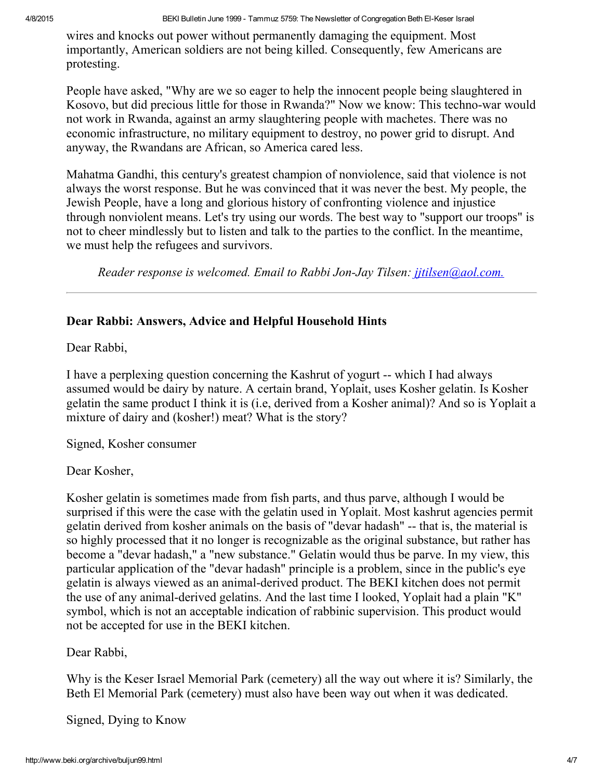wires and knocks out power without permanently damaging the equipment. Most importantly, American soldiers are not being killed. Consequently, few Americans are protesting.

People have asked, "Why are we so eager to help the innocent people being slaughtered in Kosovo, but did precious little for those in Rwanda?" Now we know: This techno-war would not work in Rwanda, against an army slaughtering people with machetes. There was no economic infrastructure, no military equipment to destroy, no power grid to disrupt. And anyway, the Rwandans are African, so America cared less.

Mahatma Gandhi, this century's greatest champion of nonviolence, said that violence is not always the worst response. But he was convinced that it was never the best. My people, the Jewish People, have a long and glorious history of confronting violence and injustice through nonviolent means. Let's try using our words. The best way to "support our troops" is not to cheer mindlessly but to listen and talk to the parties to the conflict. In the meantime, we must help the refugees and survivors.

Reader response is welcomed. Email to Rabbi Jon-Jay Tilsen: *[jjtilsen@aol.com.](mailto:jjtilsen@aol.com)* 

#### <span id="page-3-0"></span>Dear Rabbi: Answers, Advice and Helpful Household Hints

Dear Rabbi,

I have a perplexing question concerning the Kashrut of yogurt -- which I had always assumed would be dairy by nature. A certain brand, Yoplait, uses Kosher gelatin. Is Kosher gelatin the same product I think it is (i.e, derived from a Kosher animal)? And so is Yoplait a mixture of dairy and (kosher!) meat? What is the story?

Signed, Kosher consumer

Dear Kosher,

Kosher gelatin is sometimes made from fish parts, and thus parve, although I would be surprised if this were the case with the gelatin used in Yoplait. Most kashrut agencies permit gelatin derived from kosher animals on the basis of "devar hadash" -- that is, the material is so highly processed that it no longer is recognizable as the original substance, but rather has become a "devar hadash," a "new substance." Gelatin would thus be parve. In my view, this particular application of the "devar hadash" principle is a problem, since in the public's eye gelatin is always viewed as an animal-derived product. The BEKI kitchen does not permit the use of any animal-derived gelatins. And the last time I looked, Yoplait had a plain "K" symbol, which is not an acceptable indication of rabbinic supervision. This product would not be accepted for use in the BEKI kitchen.

Dear Rabbi,

Why is the Keser Israel Memorial Park (cemetery) all the way out where it is? Similarly, the Beth El Memorial Park (cemetery) must also have been way out when it was dedicated.

Signed, Dying to Know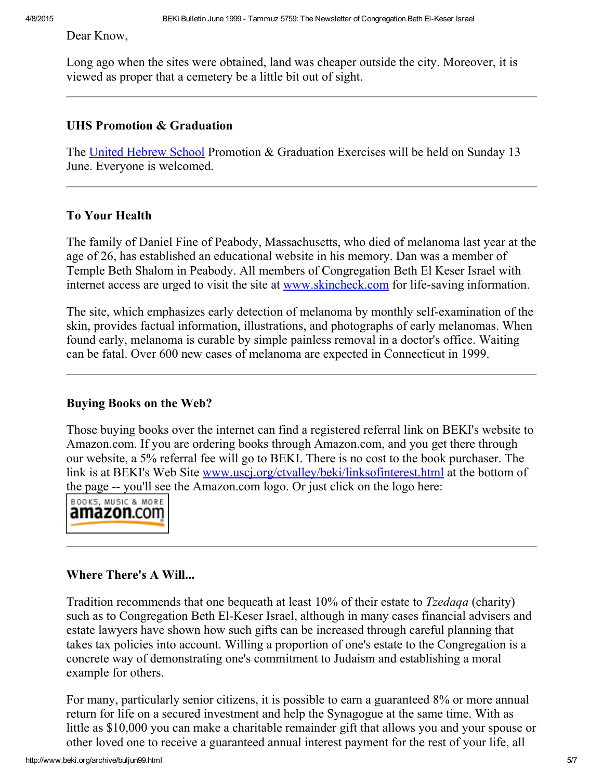Dear Know,

Long ago when the sites were obtained, land was cheaper outside the city. Moreover, it is viewed as proper that a cemetery be a little bit out of sight.

#### <span id="page-4-2"></span>UHS Promotion & Graduation

The United [Hebrew](http://www.beki.org/archive/youth.html#UHS) School Promotion & Graduation Exercises will be held on Sunday 13 June. Everyone is welcomed.

#### <span id="page-4-1"></span>To Your Health

The family of Daniel Fine of Peabody, Massachusetts, who died of melanoma last year at the age of 26, has established an educational website in his memory. Dan was a member of Temple Beth Shalom in Peabody. All members of Congregation Beth El Keser Israel with internet access are urged to visit the site at [www.skincheck.com](http://www.skincheck.com/) for life-saving information.

The site, which emphasizes early detection of melanoma by monthly self-examination of the skin, provides factual information, illustrations, and photographs of early melanomas. When found early, melanoma is curable by simple painless removal in a doctor's office. Waiting can be fatal. Over 600 new cases of melanoma are expected in Connecticut in 1999.

#### <span id="page-4-3"></span>Buying Books on the Web?

Those buying books over the internet can find a registered referral link on BEKI's website to Amazon.com. If you are ordering books through Amazon.com, and you get there through our website, a 5% referral fee will go to BEKI. There is no cost to the book purchaser. The link is at BEKI's Web Site [www.uscj.org/ctvalley/beki/linksofinterest.html](http://www.beki.org/archive/www.uscj.org/ctvalley/beki/linksofinterest.html) at the bottom of the page -- you'll see the Amazon.com logo. Or just click on the logo here:



## <span id="page-4-0"></span>Where There's A Will...

Tradition recommends that one bequeath at least 10% of their estate to *Tzedaqa* (charity) such as to Congregation Beth El-Keser Israel, although in many cases financial advisers and estate lawyers have shown how such gifts can be increased through careful planning that takes tax policies into account. Willing a proportion of one's estate to the Congregation is a concrete way of demonstrating one's commitment to Judaism and establishing a moral example for others.

For many, particularly senior citizens, it is possible to earn a guaranteed 8% or more annual return for life on a secured investment and help the Synagogue at the same time. With as little as \$10,000 you can make a charitable remainder gift that allows you and your spouse or other loved one to receive a guaranteed annual interest payment for the rest of your life, all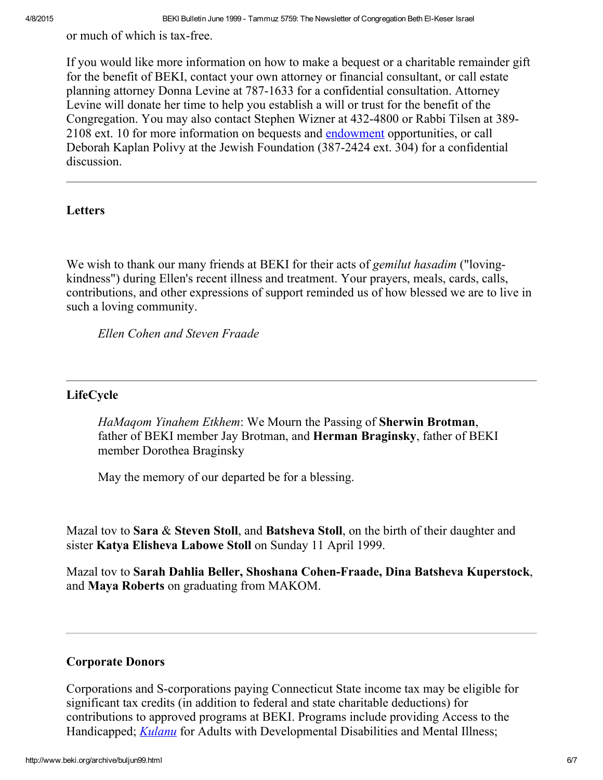or much of which is tax-free.

If you would like more information on how to make a bequest or a charitable remainder gift for the benefit of BEKI, contact your own attorney or financial consultant, or call estate planning attorney Donna Levine at 787-1633 for a confidential consultation. Attorney Levine will donate her time to help you establish a will or trust for the benefit of the Congregation. You may also contact Stephen Wizner at 432-4800 or Rabbi Tilsen at 389-2108 ext. 10 for more information on bequests and [endowment](http://www.beki.org/archive/endow.html) opportunities, or call Deborah Kaplan Polivy at the Jewish Foundation (387-2424 ext. 304) for a confidential discussion.

#### <span id="page-5-1"></span>Letters

We wish to thank our many friends at BEKI for their acts of *gemilut hasadim* ("lovingkindness") during Ellen's recent illness and treatment. Your prayers, meals, cards, calls, contributions, and other expressions of support reminded us of how blessed we are to live in such a loving community.

Ellen Cohen and Steven Fraade

#### <span id="page-5-0"></span>LifeCycle

HaMaqom Yinahem Etkhem: We Mourn the Passing of Sherwin Brotman, father of BEKI member Jay Brotman, and Herman Braginsky, father of BEKI member Dorothea Braginsky

May the memory of our departed be for a blessing.

Mazal tov to Sara & Steven Stoll, and Batsheva Stoll, on the birth of their daughter and sister Katya Elisheva Labowe Stoll on Sunday 11 April 1999.

Mazal tov to Sarah Dahlia Beller, Shoshana Cohen-Fraade, Dina Batsheva Kuperstock, and Maya Roberts on graduating from MAKOM.

#### <span id="page-5-2"></span>Corporate Donors

Corporations and S-corporations paying Connecticut State income tax may be eligible for significant tax credits (in addition to federal and state charitable deductions) for contributions to approved programs at BEKI. Programs include providing Access to the Handicapped; *[Kulanu](http://www.beki.org/archive/kulanu.html)* for Adults with Developmental Disabilities and Mental Illness;